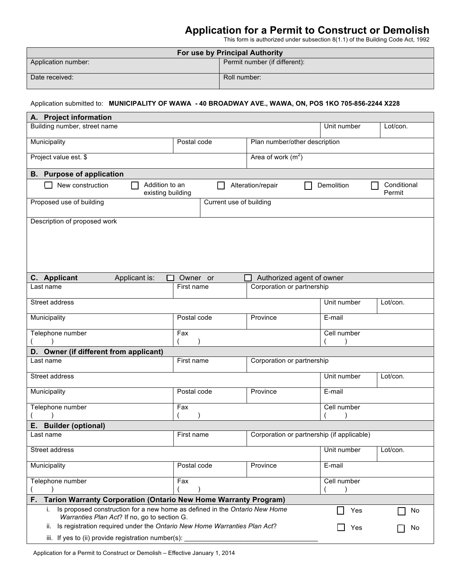## **Application for a Permit to Construct or Demolish**

This form is authorized under subsection 8(1.1) of the Building Code Act, 1992

| For use by Principal Authority |                               |  |  |  |
|--------------------------------|-------------------------------|--|--|--|
| Application number:            | Permit number (if different): |  |  |  |
| Date received:                 | Roll number:                  |  |  |  |

### Application submitted to: **MUNICIPALITY OF WAWA - 40 BROADWAY AVE., WAWA, ON, POS 1KO 705-856-2244 X228**

| A. Project information                                                          |                        |                         |                                                         |             |                       |
|---------------------------------------------------------------------------------|------------------------|-------------------------|---------------------------------------------------------|-------------|-----------------------|
| Building number, street name                                                    |                        |                         |                                                         | Unit number | Lot/con.              |
| Municipality                                                                    | Postal code            |                         | Plan number/other description                           |             |                       |
| Project value est. \$                                                           |                        |                         | Area of work $(m2)$                                     |             |                       |
| <b>B.</b> Purpose of application                                                |                        |                         |                                                         |             |                       |
| Addition to an<br>New construction<br>existing building                         |                        |                         | Alteration/repair                                       | Demolition  | Conditional<br>Permit |
| Proposed use of building                                                        |                        | Current use of building |                                                         |             |                       |
| Description of proposed work                                                    |                        |                         |                                                         |             |                       |
|                                                                                 |                        |                         |                                                         |             |                       |
|                                                                                 |                        |                         |                                                         |             |                       |
|                                                                                 |                        |                         |                                                         |             |                       |
|                                                                                 |                        |                         |                                                         |             |                       |
| C. Applicant<br>Applicant is:<br>□<br>Last name                                 | Owner or<br>First name |                         | Authorized agent of owner<br>Corporation or partnership |             |                       |
|                                                                                 |                        |                         |                                                         |             |                       |
| Street address                                                                  |                        |                         |                                                         | Unit number | Lot/con.              |
| Municipality                                                                    | Postal code            |                         | Province                                                | E-mail      |                       |
| Telephone number                                                                | Fax                    |                         |                                                         | Cell number |                       |
| D. Owner (if different from applicant)                                          |                        |                         |                                                         |             |                       |
| Last name                                                                       | First name             |                         | Corporation or partnership                              |             |                       |
| Street address                                                                  |                        |                         |                                                         | Unit number | Lot/con.              |
| Municipality                                                                    | Postal code            |                         | Province                                                | E-mail      |                       |
| Telephone number                                                                | Fax                    |                         |                                                         | Cell number |                       |
| <b>Builder (optional)</b><br>Е.                                                 |                        |                         |                                                         |             |                       |
| Last name                                                                       | First name             |                         | Corporation or partnership (if applicable)              |             |                       |
| Street address                                                                  |                        |                         |                                                         | Unit number | Lot/con.              |
| Municipality                                                                    | Postal code            |                         | Province                                                | E-mail      |                       |
| Telephone number                                                                | Fax                    |                         |                                                         | Cell number |                       |
| F.<br><b>Tarion Warranty Corporation (Ontario New Home Warranty Program)</b>    |                        |                         |                                                         |             |                       |
| i. Is proposed construction for a new home as defined in the Ontario New Home   |                        |                         |                                                         | Yes         | No                    |
| Warranties Plan Act? If no, go to section G.                                    |                        |                         |                                                         |             |                       |
| Is registration required under the Ontario New Home Warranties Plan Act?<br>II. |                        |                         |                                                         | Yes         | No                    |
| iii. If yes to (ii) provide registration number(s):                             |                        |                         |                                                         |             |                       |

Application for a Permit to Construct or Demolish – Effective January 1, 2014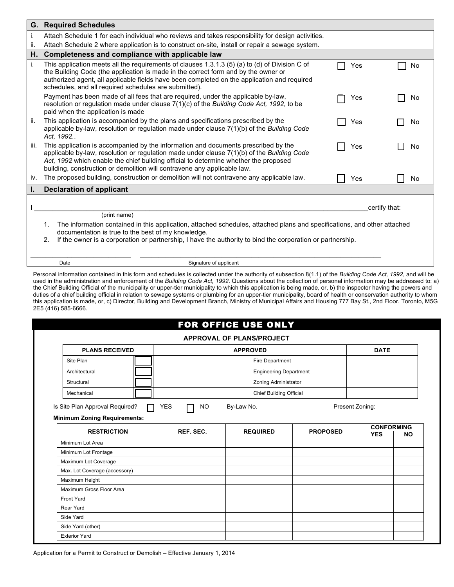|      | <b>G. Required Schedules</b>                                                                                                                                                                                                                                                                                                                           |     |               |
|------|--------------------------------------------------------------------------------------------------------------------------------------------------------------------------------------------------------------------------------------------------------------------------------------------------------------------------------------------------------|-----|---------------|
|      | Attach Schedule 1 for each individual who reviews and takes responsibility for design activities.                                                                                                                                                                                                                                                      |     |               |
| ii.  | Attach Schedule 2 where application is to construct on-site, install or repair a sewage system.                                                                                                                                                                                                                                                        |     |               |
| Н.   | Completeness and compliance with applicable law                                                                                                                                                                                                                                                                                                        |     |               |
| i.   | This application meets all the requirements of clauses $1.3.1.3$ (5) (a) to (d) of Division C of<br>the Building Code (the application is made in the correct form and by the owner or<br>authorized agent, all applicable fields have been completed on the application and required<br>schedules, and all required schedules are submitted).         | Yes | No            |
|      | Payment has been made of all fees that are required, under the applicable by-law,<br>resolution or regulation made under clause 7(1)(c) of the Building Code Act, 1992, to be<br>paid when the application is made                                                                                                                                     | Yes | No            |
| ii.  | This application is accompanied by the plans and specifications prescribed by the<br>applicable by-law, resolution or regulation made under clause $7(1)(b)$ of the Building Code<br>Act. 1992                                                                                                                                                         | Yes | No            |
| iii. | This application is accompanied by the information and documents prescribed by the<br>applicable by-law, resolution or regulation made under clause $7(1)(b)$ of the Building Code<br>Act, 1992 which enable the chief building official to determine whether the proposed<br>building, construction or demolition will contravene any applicable law. | Yes | No            |
| iv.  | The proposed building, construction or demolition will not contravene any applicable law.                                                                                                                                                                                                                                                              | Yes | No            |
| ı.   | <b>Declaration of applicant</b>                                                                                                                                                                                                                                                                                                                        |     |               |
|      | (print name)                                                                                                                                                                                                                                                                                                                                           |     | certify that: |
|      | The information contained in this application, attached schedules, attached plans and specifications, and other attached<br>1.<br>documentation is true to the best of my knowledge.<br>If the owner is a corporation or partnership, I have the authority to bind the corporation or partnership.<br>2.                                               |     |               |

Date Signature of applicant

Personal information contained in this form and schedules is collected under the authority of subsection 8(1.1) of the *Building Code Act, 1992*, and will be used in the administration and enforcement of the *Building Code Act, 1992*. Questions about the collection of personal information may be addressed to: a) the Chief Building Official of the municipality or upper-tier municipality to which this application is being made, or, b) the inspector having the powers and duties of a chief building official in relation to sewage systems or plumbing for an upper-tier municipality, board of health or conservation authority to whom this application is made, or, c) Director, Building and Development Branch, Ministry of Municipal Affairs and Housing 777 Bay St., 2nd Floor. Toronto, M5G 2E5 (416) 585-6666.

|  |  |  |  |  |  |  | FOR OFFICE USE ONLY |  |
|--|--|--|--|--|--|--|---------------------|--|
|--|--|--|--|--|--|--|---------------------|--|

| <b>PLANS RECEIVED</b>                                                  |                      | <b>APPROVED</b>                |                 | <b>DATE</b>                     |           |
|------------------------------------------------------------------------|----------------------|--------------------------------|-----------------|---------------------------------|-----------|
| Site Plan                                                              | Fire Department      |                                |                 |                                 |           |
| Architectural                                                          |                      | <b>Engineering Department</b>  |                 |                                 |           |
| Structural                                                             | Zoning Administrator |                                |                 |                                 |           |
| Mechanical                                                             |                      | <b>Chief Building Official</b> |                 |                                 |           |
| Is Site Plan Approval Required?<br><b>Minimum Zoning Requirements:</b> | YES<br>NO.           | By-Law No. 1997                |                 |                                 |           |
| <b>RESTRICTION</b>                                                     | REF. SEC.            | <b>REQUIRED</b>                | <b>PROPOSED</b> | <b>CONFORMING</b><br><b>YES</b> | <b>NO</b> |
| Minimum Lot Area                                                       |                      |                                |                 |                                 |           |
| Minimum Lot Frontage                                                   |                      |                                |                 |                                 |           |
| Maximum Lot Coverage                                                   |                      |                                |                 |                                 |           |
| Max. Lot Coverage (accessory)                                          |                      |                                |                 |                                 |           |
| Maximum Height                                                         |                      |                                |                 |                                 |           |
| Maximum Gross Floor Area                                               |                      |                                |                 |                                 |           |
| <b>Front Yard</b>                                                      |                      |                                |                 |                                 |           |
| Rear Yard                                                              |                      |                                |                 |                                 |           |
| Side Yard                                                              |                      |                                |                 |                                 |           |
| Side Yard (other)                                                      |                      |                                |                 |                                 |           |
| <b>Exterior Yard</b>                                                   |                      |                                |                 |                                 |           |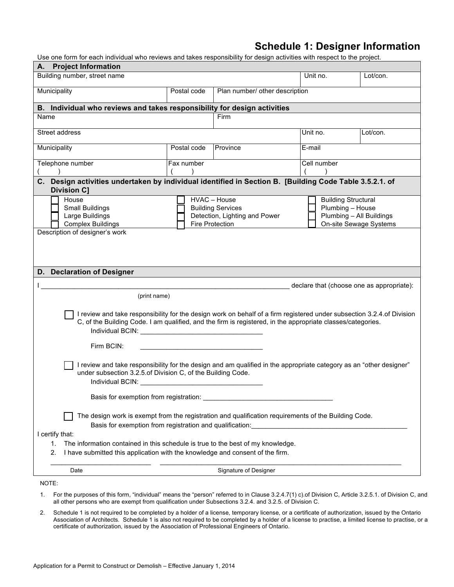### **Schedule 1: Designer Information**

Use one form for each individual who reviews and takes responsibility for design activities with respect to the project.

| A. Project Information                                                                                                                                                                                                                                                                                                                                                                                                                                                                                                                                                         |                                                                                                                                                                                                      |                                |             |          |  |  |  |
|--------------------------------------------------------------------------------------------------------------------------------------------------------------------------------------------------------------------------------------------------------------------------------------------------------------------------------------------------------------------------------------------------------------------------------------------------------------------------------------------------------------------------------------------------------------------------------|------------------------------------------------------------------------------------------------------------------------------------------------------------------------------------------------------|--------------------------------|-------------|----------|--|--|--|
| Building number, street name                                                                                                                                                                                                                                                                                                                                                                                                                                                                                                                                                   |                                                                                                                                                                                                      |                                | Unit no.    | Lot/con. |  |  |  |
| Municipality                                                                                                                                                                                                                                                                                                                                                                                                                                                                                                                                                                   | Postal code                                                                                                                                                                                          | Plan number/ other description |             |          |  |  |  |
| B. Individual who reviews and takes responsibility for design activities                                                                                                                                                                                                                                                                                                                                                                                                                                                                                                       |                                                                                                                                                                                                      |                                |             |          |  |  |  |
| Name                                                                                                                                                                                                                                                                                                                                                                                                                                                                                                                                                                           |                                                                                                                                                                                                      | Firm                           |             |          |  |  |  |
| Street address                                                                                                                                                                                                                                                                                                                                                                                                                                                                                                                                                                 |                                                                                                                                                                                                      |                                | Unit no.    | Lot/con. |  |  |  |
| Municipality                                                                                                                                                                                                                                                                                                                                                                                                                                                                                                                                                                   | Postal code                                                                                                                                                                                          | Province                       | E-mail      |          |  |  |  |
| Telephone number<br>$\rightarrow$                                                                                                                                                                                                                                                                                                                                                                                                                                                                                                                                              | Fax number                                                                                                                                                                                           |                                | Cell number |          |  |  |  |
| C. Design activities undertaken by individual identified in Section B. [Building Code Table 3.5.2.1. of<br><b>Division C]</b>                                                                                                                                                                                                                                                                                                                                                                                                                                                  |                                                                                                                                                                                                      |                                |             |          |  |  |  |
| House<br><b>Small Buildings</b><br>Large Buildings<br><b>Complex Buildings</b><br>Description of designer's work                                                                                                                                                                                                                                                                                                                                                                                                                                                               | HVAC - House<br><b>Building Structural</b><br>Plumbing - House<br><b>Building Services</b><br>Plumbing - All Buildings<br>Detection, Lighting and Power<br>On-site Sewage Systems<br>Fire Protection |                                |             |          |  |  |  |
| D. Declaration of Designer                                                                                                                                                                                                                                                                                                                                                                                                                                                                                                                                                     |                                                                                                                                                                                                      |                                |             |          |  |  |  |
| declare that (choose one as appropriate):                                                                                                                                                                                                                                                                                                                                                                                                                                                                                                                                      |                                                                                                                                                                                                      |                                |             |          |  |  |  |
| (print name)                                                                                                                                                                                                                                                                                                                                                                                                                                                                                                                                                                   |                                                                                                                                                                                                      |                                |             |          |  |  |  |
| I review and take responsibility for the design work on behalf of a firm registered under subsection 3.2.4 of Division<br>C, of the Building Code. I am qualified, and the firm is registered, in the appropriate classes/categories.<br>Firm BCIN:<br>I review and take responsibility for the design and am qualified in the appropriate category as an "other designer"<br>under subsection 3.2.5 of Division C, of the Building Code.<br>Individual BCIN:<br><u> 1989 - Johann Stein, mars an deus Amerikaansk kommunister (</u><br>Basis for exemption from registration: |                                                                                                                                                                                                      |                                |             |          |  |  |  |
| The design work is exempt from the registration and qualification requirements of the Building Code.<br>Basis for exemption from registration and qualification:<br>I certify that:<br>The information contained in this schedule is true to the best of my knowledge.<br>1.<br>2.<br>I have submitted this application with the knowledge and consent of the firm.                                                                                                                                                                                                            |                                                                                                                                                                                                      |                                |             |          |  |  |  |
| Date                                                                                                                                                                                                                                                                                                                                                                                                                                                                                                                                                                           |                                                                                                                                                                                                      | Signature of Designer          |             |          |  |  |  |
| NOTE:                                                                                                                                                                                                                                                                                                                                                                                                                                                                                                                                                                          |                                                                                                                                                                                                      |                                |             |          |  |  |  |

1. For the purposes of this form, "individual" means the "person" referred to in Clause 3.2.4.7(1) c).of Division C, Article 3.2.5.1. of Division C, and all other persons who are exempt from qualification under Subsections 3.2.4. and 3.2.5. of Division C.

2. Schedule 1 is not required to be completed by a holder of a license, temporary license, or a certificate of authorization, issued by the Ontario Association of Architects. Schedule 1 is also not required to be completed by a holder of a license to practise, a limited license to practise, or a certificate of authorization, issued by the Association of Professional Engineers of Ontario.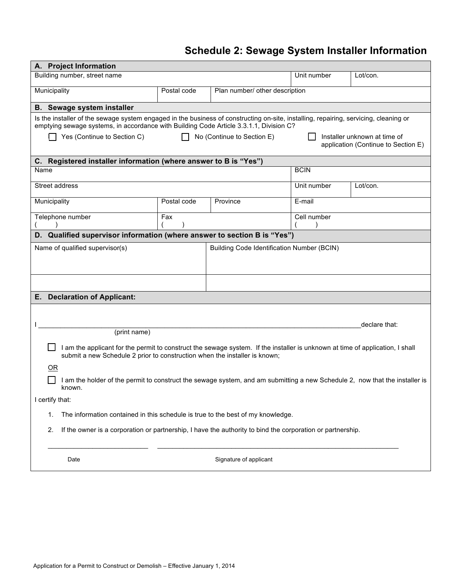# **Schedule 2: Sewage System Installer Information**

| A. Project Information                                                                                                                                                                                      |                                                                                                                                                                                                                                                                                                                                     |                                                   |             |               |  |  |  |
|-------------------------------------------------------------------------------------------------------------------------------------------------------------------------------------------------------------|-------------------------------------------------------------------------------------------------------------------------------------------------------------------------------------------------------------------------------------------------------------------------------------------------------------------------------------|---------------------------------------------------|-------------|---------------|--|--|--|
| Building number, street name<br>Unit number<br>Lot/con.                                                                                                                                                     |                                                                                                                                                                                                                                                                                                                                     |                                                   |             |               |  |  |  |
| Municipality                                                                                                                                                                                                | Postal code                                                                                                                                                                                                                                                                                                                         | Plan number/ other description                    |             |               |  |  |  |
| <b>B.</b> Sewage system installer                                                                                                                                                                           |                                                                                                                                                                                                                                                                                                                                     |                                                   |             |               |  |  |  |
| Yes (Continue to Section C)                                                                                                                                                                                 | Is the installer of the sewage system engaged in the business of constructing on-site, installing, repairing, servicing, cleaning or<br>emptying sewage systems, in accordance with Building Code Article 3.3.1.1, Division C?<br>No (Continue to Section E)<br>Installer unknown at time of<br>application (Continue to Section E) |                                                   |             |               |  |  |  |
| C. Registered installer information (where answer to B is "Yes")                                                                                                                                            |                                                                                                                                                                                                                                                                                                                                     |                                                   |             |               |  |  |  |
| Name                                                                                                                                                                                                        |                                                                                                                                                                                                                                                                                                                                     |                                                   | <b>BCIN</b> |               |  |  |  |
| Street address                                                                                                                                                                                              |                                                                                                                                                                                                                                                                                                                                     |                                                   | Unit number | Lot/con.      |  |  |  |
| Municipality                                                                                                                                                                                                | Postal code                                                                                                                                                                                                                                                                                                                         | Province                                          | E-mail      |               |  |  |  |
| Telephone number                                                                                                                                                                                            | Cell number<br>Fax                                                                                                                                                                                                                                                                                                                  |                                                   |             |               |  |  |  |
| D. Qualified supervisor information (where answer to section B is "Yes")                                                                                                                                    |                                                                                                                                                                                                                                                                                                                                     |                                                   |             |               |  |  |  |
| Name of qualified supervisor(s)                                                                                                                                                                             |                                                                                                                                                                                                                                                                                                                                     | <b>Building Code Identification Number (BCIN)</b> |             |               |  |  |  |
|                                                                                                                                                                                                             |                                                                                                                                                                                                                                                                                                                                     |                                                   |             |               |  |  |  |
|                                                                                                                                                                                                             |                                                                                                                                                                                                                                                                                                                                     |                                                   |             |               |  |  |  |
| <b>Declaration of Applicant:</b><br>Е.                                                                                                                                                                      |                                                                                                                                                                                                                                                                                                                                     |                                                   |             |               |  |  |  |
|                                                                                                                                                                                                             |                                                                                                                                                                                                                                                                                                                                     |                                                   |             |               |  |  |  |
|                                                                                                                                                                                                             |                                                                                                                                                                                                                                                                                                                                     |                                                   |             | declare that: |  |  |  |
| (print name)                                                                                                                                                                                                |                                                                                                                                                                                                                                                                                                                                     |                                                   |             |               |  |  |  |
| I am the applicant for the permit to construct the sewage system. If the installer is unknown at time of application, I shall<br>submit a new Schedule 2 prior to construction when the installer is known; |                                                                                                                                                                                                                                                                                                                                     |                                                   |             |               |  |  |  |
| 0R                                                                                                                                                                                                          |                                                                                                                                                                                                                                                                                                                                     |                                                   |             |               |  |  |  |
| I am the holder of the permit to construct the sewage system, and am submitting a new Schedule 2, now that the installer is<br>known.                                                                       |                                                                                                                                                                                                                                                                                                                                     |                                                   |             |               |  |  |  |
| I certify that:                                                                                                                                                                                             |                                                                                                                                                                                                                                                                                                                                     |                                                   |             |               |  |  |  |
| The information contained in this schedule is true to the best of my knowledge.<br>1.                                                                                                                       |                                                                                                                                                                                                                                                                                                                                     |                                                   |             |               |  |  |  |
| 2.<br>If the owner is a corporation or partnership, I have the authority to bind the corporation or partnership.                                                                                            |                                                                                                                                                                                                                                                                                                                                     |                                                   |             |               |  |  |  |
| Signature of applicant<br>Date                                                                                                                                                                              |                                                                                                                                                                                                                                                                                                                                     |                                                   |             |               |  |  |  |